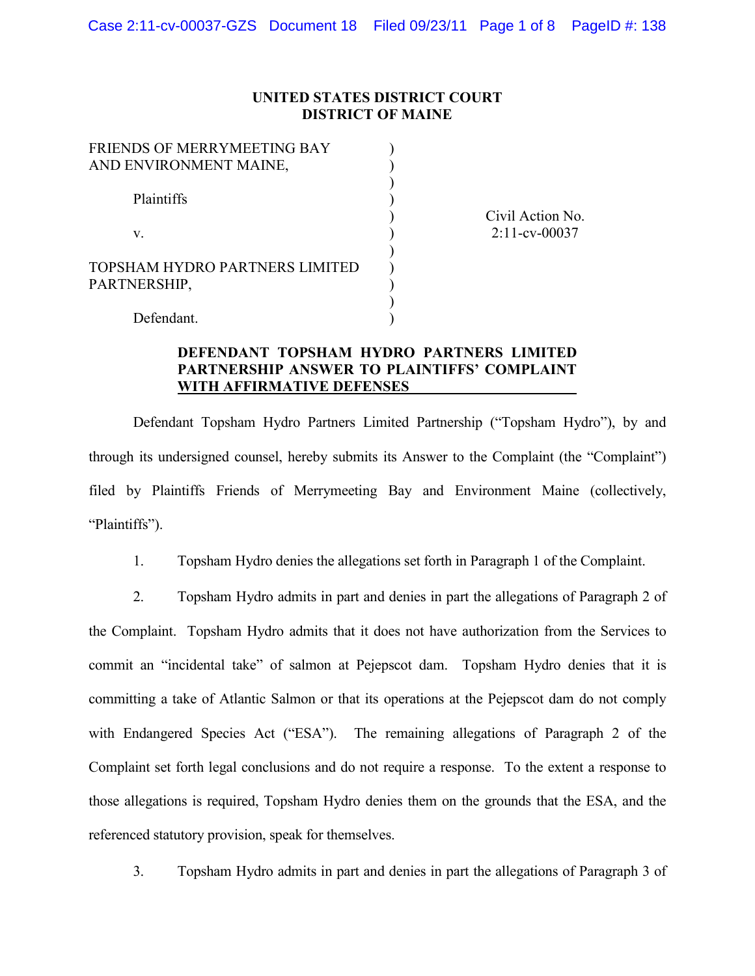### **UNITED STATES DISTRICT COURT DISTRICT OF MAINE**

| FRIENDS OF MERRYMEETING BAY    |  |
|--------------------------------|--|
| AND ENVIRONMENT MAINE,         |  |
|                                |  |
| Plaintiffs                     |  |
|                                |  |
| V.                             |  |
|                                |  |
| TOPSHAM HYDRO PARTNERS LIMITED |  |
| PARTNERSHIP,                   |  |
|                                |  |
| Defendant.                     |  |

Civil Action No. 2:11-cv-00037

# **DEFENDANT TOPSHAM HYDRO PARTNERS LIMITED PARTNERSHIP ANSWER TO PLAINTIFFS' COMPLAINT WITH AFFIRMATIVE DEFENSES**

Defendant Topsham Hydro Partners Limited Partnership ("Topsham Hydro"), by and through its undersigned counsel, hereby submits its Answer to the Complaint (the "Complaint") filed by Plaintiffs Friends of Merrymeeting Bay and Environment Maine (collectively, "Plaintiffs").

1. Topsham Hydro denies the allegations set forth in Paragraph 1 of the Complaint.

2. Topsham Hydro admits in part and denies in part the allegations of Paragraph 2 of the Complaint. Topsham Hydro admits that it does not have authorization from the Services to commit an "incidental take" of salmon at Pejepscot dam. Topsham Hydro denies that it is committing a take of Atlantic Salmon or that its operations at the Pejepscot dam do not comply with Endangered Species Act ("ESA"). The remaining allegations of Paragraph 2 of the Complaint set forth legal conclusions and do not require a response. To the extent a response to those allegations is required, Topsham Hydro denies them on the grounds that the ESA, and the referenced statutory provision, speak for themselves.

3. Topsham Hydro admits in part and denies in part the allegations of Paragraph 3 of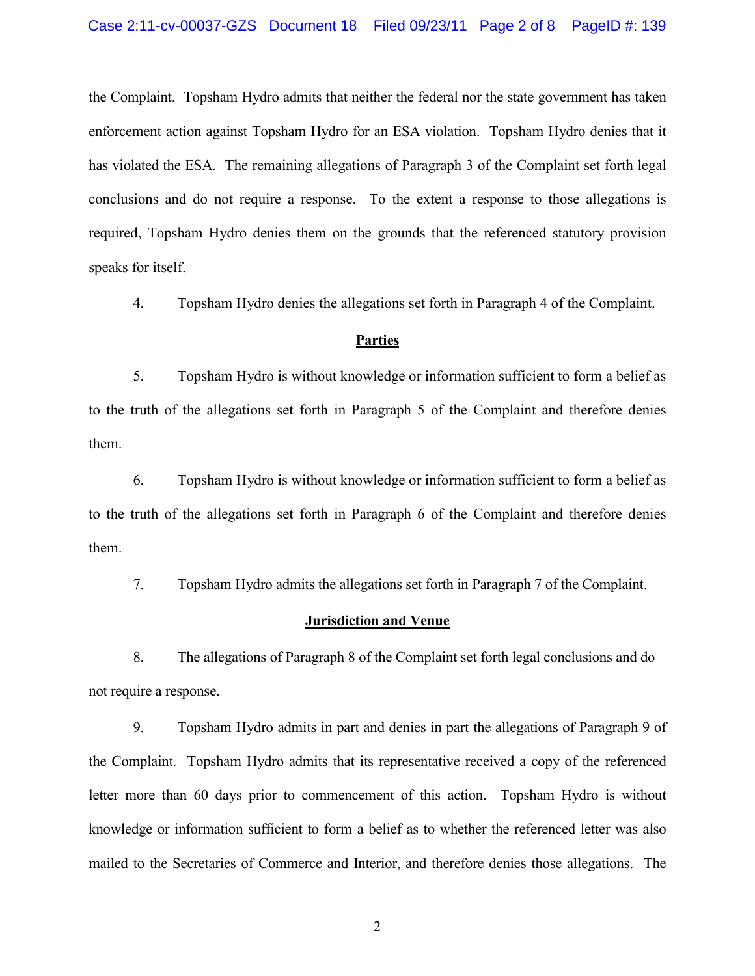the Complaint. Topsham Hydro admits that neither the federal nor the state government has taken enforcement action against Topsham Hydro for an ESA violation. Topsham Hydro denies that it has violated the ESA. The remaining allegations of Paragraph 3 of the Complaint set forth legal conclusions and do not require a response. To the extent a response to those allegations is required, Topsham Hydro denies them on the grounds that the referenced statutory provision speaks for itself.

4. Topsham Hydro denies the allegations set forth in Paragraph 4 of the Complaint.

### **Parties**

5. Topsham Hydro is without knowledge or information sufficient to form a belief as to the truth of the allegations set forth in Paragraph 5 of the Complaint and therefore denies them.

6. Topsham Hydro is without knowledge or information sufficient to form a belief as to the truth of the allegations set forth in Paragraph 6 of the Complaint and therefore denies them.

7. Topsham Hydro admits the allegations set forth in Paragraph 7 of the Complaint.

### **Jurisdiction and Venue**

8. The allegations of Paragraph 8 of the Complaint set forth legal conclusions and do not require a response.

9. Topsham Hydro admits in part and denies in part the allegations of Paragraph 9 of the Complaint. Topsham Hydro admits that its representative received a copy of the referenced letter more than 60 days prior to commencement of this action. Topsham Hydro is without knowledge or information sufficient to form a belief as to whether the referenced letter was also mailed to the Secretaries of Commerce and Interior, and therefore denies those allegations. The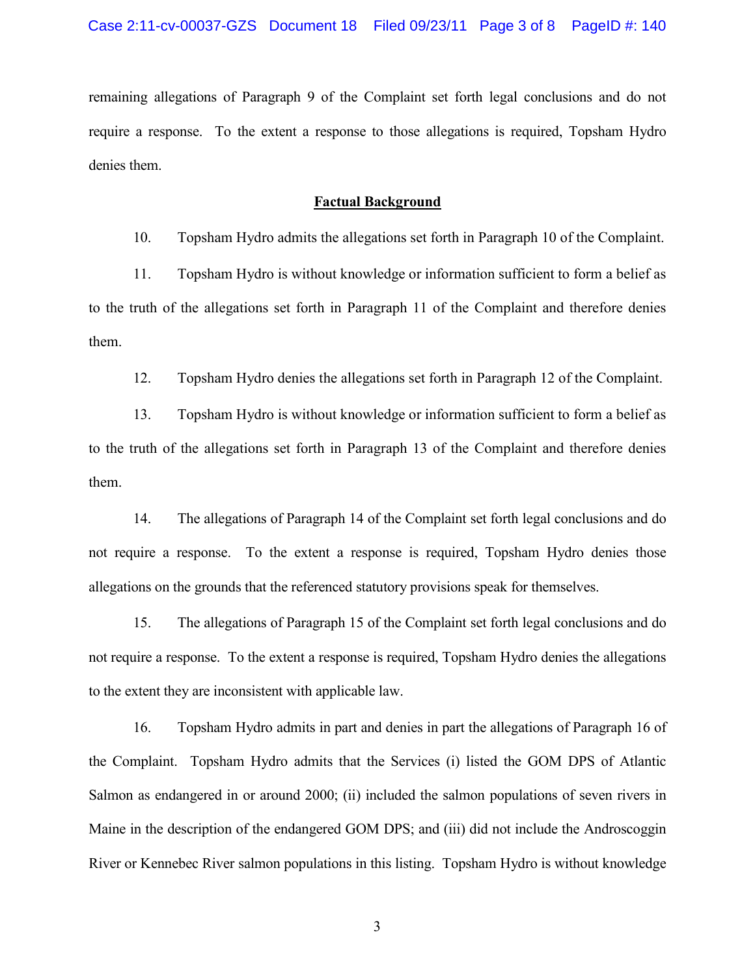remaining allegations of Paragraph 9 of the Complaint set forth legal conclusions and do not require a response. To the extent a response to those allegations is required, Topsham Hydro denies them.

### **Factual Background**

10. Topsham Hydro admits the allegations set forth in Paragraph 10 of the Complaint.

11. Topsham Hydro is without knowledge or information sufficient to form a belief as to the truth of the allegations set forth in Paragraph 11 of the Complaint and therefore denies them.

12. Topsham Hydro denies the allegations set forth in Paragraph 12 of the Complaint.

13. Topsham Hydro is without knowledge or information sufficient to form a belief as to the truth of the allegations set forth in Paragraph 13 of the Complaint and therefore denies them.

14. The allegations of Paragraph 14 of the Complaint set forth legal conclusions and do not require a response. To the extent a response is required, Topsham Hydro denies those allegations on the grounds that the referenced statutory provisions speak for themselves.

15. The allegations of Paragraph 15 of the Complaint set forth legal conclusions and do not require a response. To the extent a response is required, Topsham Hydro denies the allegations to the extent they are inconsistent with applicable law.

16. Topsham Hydro admits in part and denies in part the allegations of Paragraph 16 of the Complaint. Topsham Hydro admits that the Services (i) listed the GOM DPS of Atlantic Salmon as endangered in or around 2000; (ii) included the salmon populations of seven rivers in Maine in the description of the endangered GOM DPS; and (iii) did not include the Androscoggin River or Kennebec River salmon populations in this listing. Topsham Hydro is without knowledge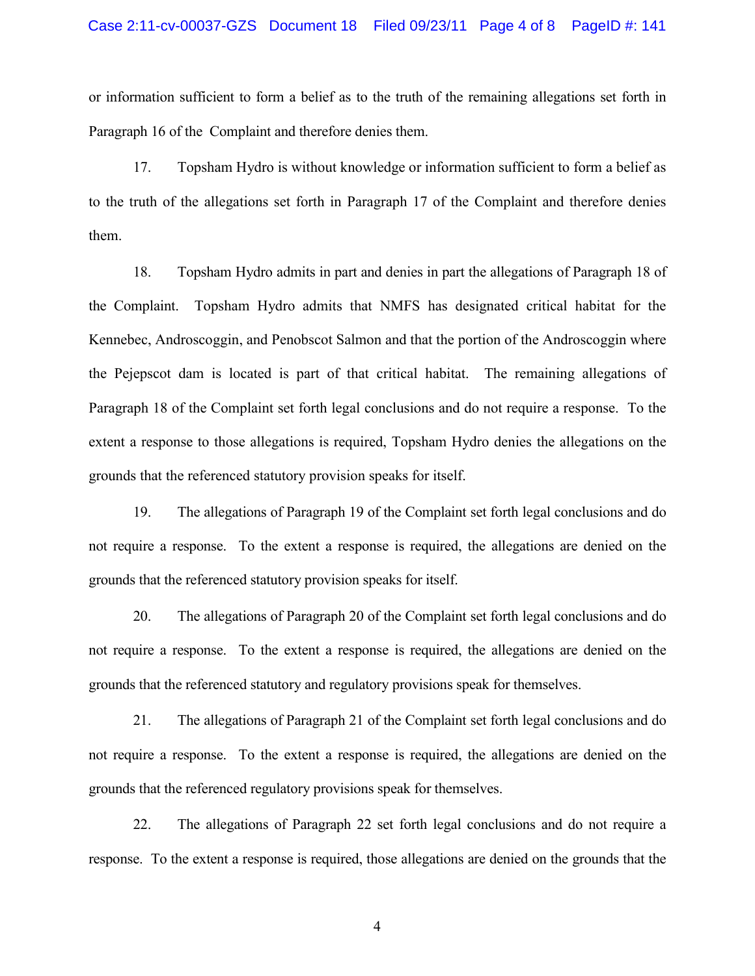or information sufficient to form a belief as to the truth of the remaining allegations set forth in Paragraph 16 of the Complaint and therefore denies them.

17. Topsham Hydro is without knowledge or information sufficient to form a belief as to the truth of the allegations set forth in Paragraph 17 of the Complaint and therefore denies them.

18. Topsham Hydro admits in part and denies in part the allegations of Paragraph 18 of the Complaint. Topsham Hydro admits that NMFS has designated critical habitat for the Kennebec, Androscoggin, and Penobscot Salmon and that the portion of the Androscoggin where the Pejepscot dam is located is part of that critical habitat. The remaining allegations of Paragraph 18 of the Complaint set forth legal conclusions and do not require a response. To the extent a response to those allegations is required, Topsham Hydro denies the allegations on the grounds that the referenced statutory provision speaks for itself.

19. The allegations of Paragraph 19 of the Complaint set forth legal conclusions and do not require a response. To the extent a response is required, the allegations are denied on the grounds that the referenced statutory provision speaks for itself.

20. The allegations of Paragraph 20 of the Complaint set forth legal conclusions and do not require a response. To the extent a response is required, the allegations are denied on the grounds that the referenced statutory and regulatory provisions speak for themselves.

21. The allegations of Paragraph 21 of the Complaint set forth legal conclusions and do not require a response. To the extent a response is required, the allegations are denied on the grounds that the referenced regulatory provisions speak for themselves.

22. The allegations of Paragraph 22 set forth legal conclusions and do not require a response. To the extent a response is required, those allegations are denied on the grounds that the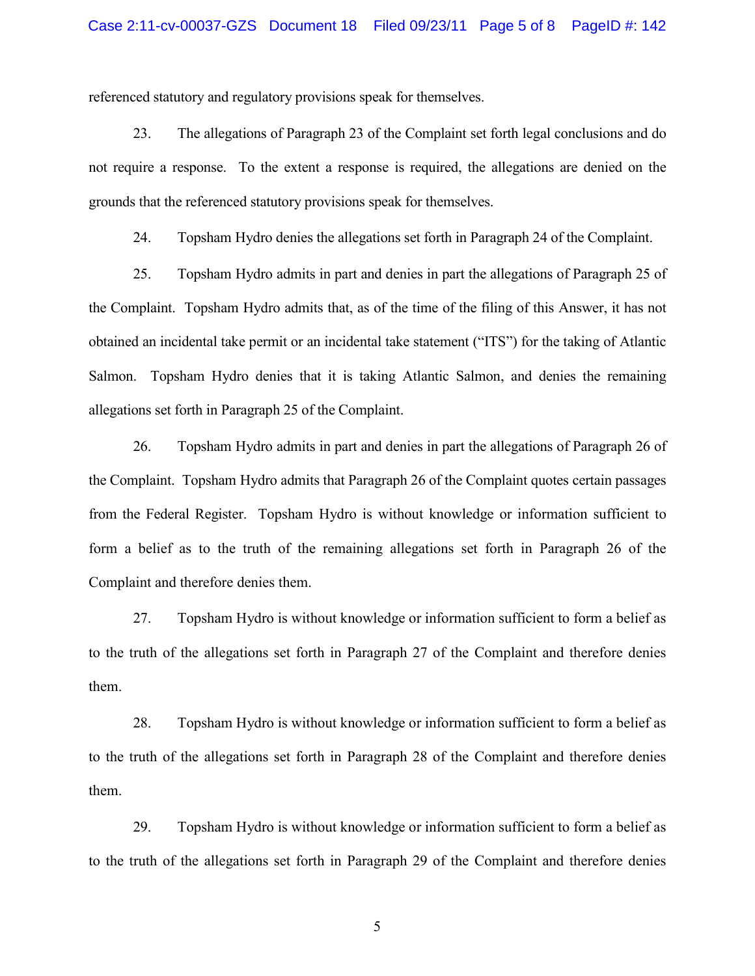referenced statutory and regulatory provisions speak for themselves.

23. The allegations of Paragraph 23 of the Complaint set forth legal conclusions and do not require a response. To the extent a response is required, the allegations are denied on the grounds that the referenced statutory provisions speak for themselves.

24. Topsham Hydro denies the allegations set forth in Paragraph 24 of the Complaint.

25. Topsham Hydro admits in part and denies in part the allegations of Paragraph 25 of the Complaint. Topsham Hydro admits that, as of the time of the filing of this Answer, it has not obtained an incidental take permit or an incidental take statement ("ITS") for the taking of Atlantic Salmon. Topsham Hydro denies that it is taking Atlantic Salmon, and denies the remaining allegations set forth in Paragraph 25 of the Complaint.

26. Topsham Hydro admits in part and denies in part the allegations of Paragraph 26 of the Complaint. Topsham Hydro admits that Paragraph 26 of the Complaint quotes certain passages from the Federal Register. Topsham Hydro is without knowledge or information sufficient to form a belief as to the truth of the remaining allegations set forth in Paragraph 26 of the Complaint and therefore denies them.

27. Topsham Hydro is without knowledge or information sufficient to form a belief as to the truth of the allegations set forth in Paragraph 27 of the Complaint and therefore denies them.

28. Topsham Hydro is without knowledge or information sufficient to form a belief as to the truth of the allegations set forth in Paragraph 28 of the Complaint and therefore denies them.

29. Topsham Hydro is without knowledge or information sufficient to form a belief as to the truth of the allegations set forth in Paragraph 29 of the Complaint and therefore denies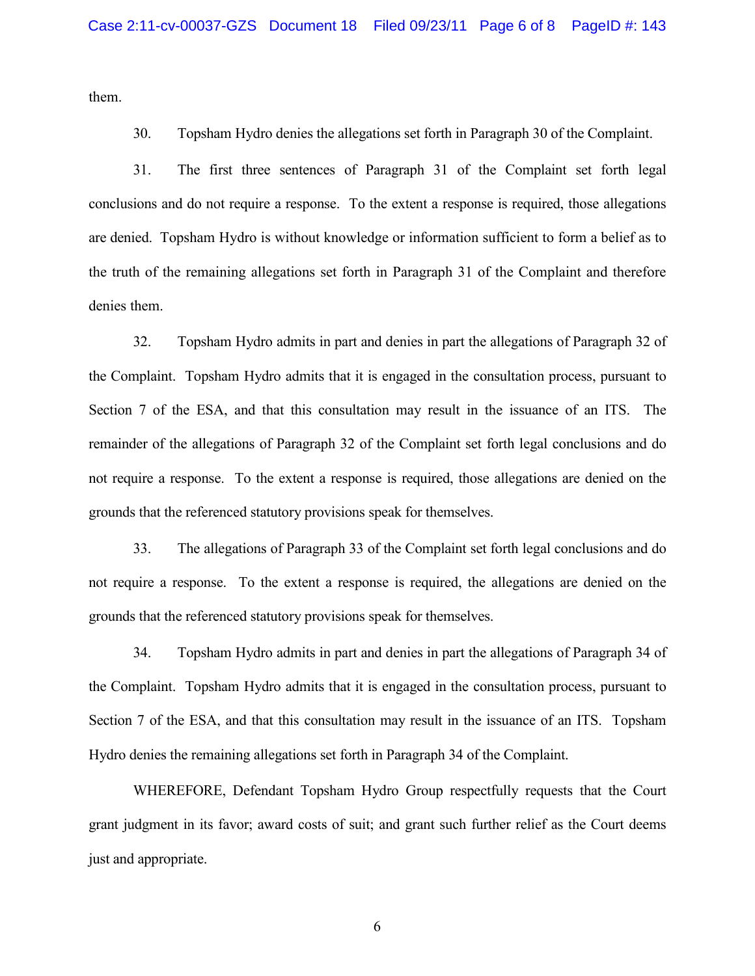them.

30. Topsham Hydro denies the allegations set forth in Paragraph 30 of the Complaint.

31. The first three sentences of Paragraph 31 of the Complaint set forth legal conclusions and do not require a response. To the extent a response is required, those allegations are denied. Topsham Hydro is without knowledge or information sufficient to form a belief as to the truth of the remaining allegations set forth in Paragraph 31 of the Complaint and therefore denies them.

32. Topsham Hydro admits in part and denies in part the allegations of Paragraph 32 of the Complaint. Topsham Hydro admits that it is engaged in the consultation process, pursuant to Section 7 of the ESA, and that this consultation may result in the issuance of an ITS. The remainder of the allegations of Paragraph 32 of the Complaint set forth legal conclusions and do not require a response. To the extent a response is required, those allegations are denied on the grounds that the referenced statutory provisions speak for themselves.

33. The allegations of Paragraph 33 of the Complaint set forth legal conclusions and do not require a response. To the extent a response is required, the allegations are denied on the grounds that the referenced statutory provisions speak for themselves.

34. Topsham Hydro admits in part and denies in part the allegations of Paragraph 34 of the Complaint. Topsham Hydro admits that it is engaged in the consultation process, pursuant to Section 7 of the ESA, and that this consultation may result in the issuance of an ITS. Topsham Hydro denies the remaining allegations set forth in Paragraph 34 of the Complaint.

WHEREFORE, Defendant Topsham Hydro Group respectfully requests that the Court grant judgment in its favor; award costs of suit; and grant such further relief as the Court deems just and appropriate.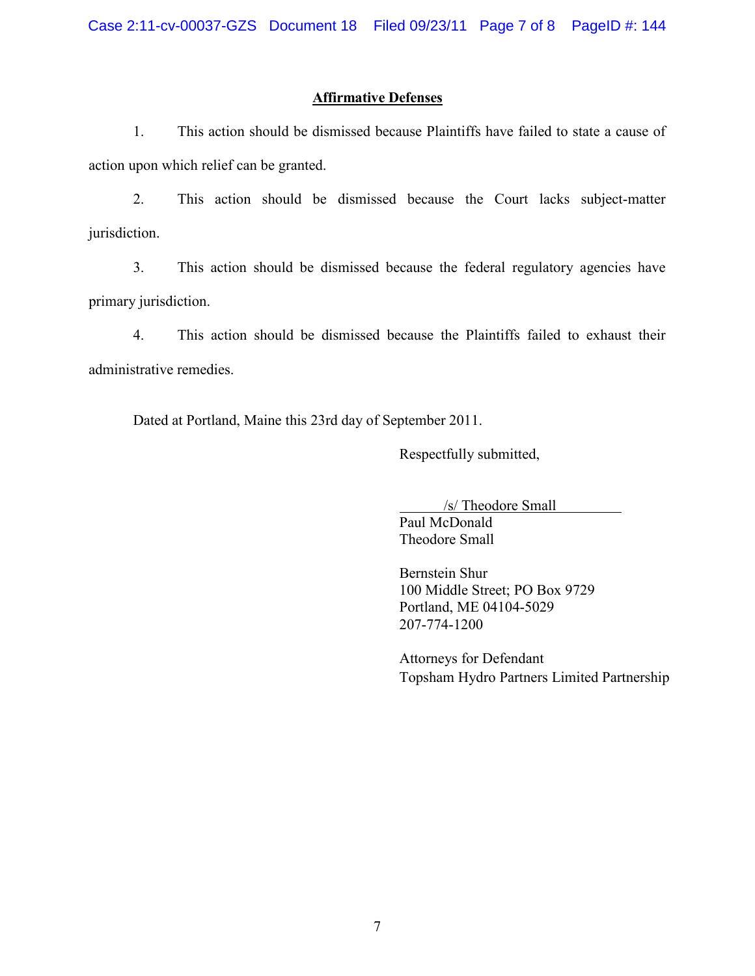# **Affirmative Defenses**

1. This action should be dismissed because Plaintiffs have failed to state a cause of action upon which relief can be granted.

2. This action should be dismissed because the Court lacks subject-matter jurisdiction.

3. This action should be dismissed because the federal regulatory agencies have primary jurisdiction.

4. This action should be dismissed because the Plaintiffs failed to exhaust their administrative remedies.

Dated at Portland, Maine this 23rd day of September 2011.

Respectfully submitted,

/s/ Theodore Small

Paul McDonald Theodore Small

Bernstein Shur 100 Middle Street; PO Box 9729 Portland, ME 04104-5029 207-774-1200

Attorneys for Defendant Topsham Hydro Partners Limited Partnership